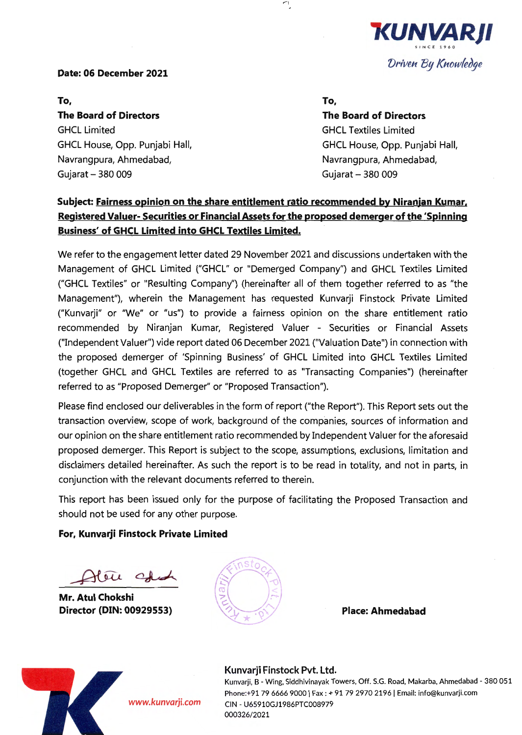

#### Date: 06 December 2021

To,

The Board of Directors GHCL Limited GHCL House, Opp. Punjabi Hall, Navrangpura, Ahmedabad, Gujarat - 380 009

#### To,

The Board of Directors GHCL Textiles Limited GHCL House, Opp. Punjabi Hall, Navrangpura, Ahmedabad, Gujarat - 380 009

## Subject: Fairness opinion on the share entitlement ratio recommended by Niranjan Kumar. Registered Valuer- Securities or Financial Assets for the proposed demerger of the 'Spinning Business' of GHCL Limited into GHCL Textiles Limited.

 $\mathcal{L}_{\mathcal{L}}$ 

We refer to the engagement letter dated 29 November 2021 and discussions undertaken with the Management of GHCL Limited ("GHCL" or "Demerged Company") and GHCL Textiles Limited ("GHCL Textiles" or "Resulting Company") (hereinafter all of them together referred to as "the Management"), wherein the Management has requested Kunvarji Finstock Private Limited ("Kunvarji" or "We" or "us") to provide a fairness opinion on the share entitlement ratio recommended by Niranjan Kumar, Registered Valuer - Securities or Financial Assets ("Independent Valuer") vide report dated 06 December 2021 ("Valuation Date") in connection with the proposed demerger of 'Spinning Business' of GHCL Limited into GHCL Textiles Limited (together GHCL and GHCL Textiles are referred to as "Transacting Companies") (hereinafter referred to as "Proposed Demerger" or "Proposed Transaction").

Please find enclosed our deliverables in the form of report ("the Report"). This Report sets out the transaction overview, scope of work, background of the companies, sources of information and our opinion on the share entitlement ratio recommended by Independent Valuer for the aforesaid proposed demerger. This Report is subject to the scope, assumptions, exclusions, limitation and disclaimers detailed hereinafter. As such the report is to be read in totality, and not in parts, in conjunction with the relevant documents referred to therein.

This report has been issued only for the purpose of facilitating the Proposed Transaction and should not be used for any other purpose.

### For, Kunvarji Finstock Private Limited

 $\sqrt{u}$ ~~

Mr. Atul Chokshi Director (DIN: 00929553)



Place: Ahmedabad



Kunvarji Finstock Pvt. Ltd. Kunvarji, B - Wing, Siddhivinayak Towers, Off. S.G. Road, Makarba, Ahmedabad - 380 051 Phone:+91 79 6666 9000 | Fax : + 91 79 2970 2196 | Email: info@kunvarji.com CIN - U65910GJ1986PTC008979 000326/2021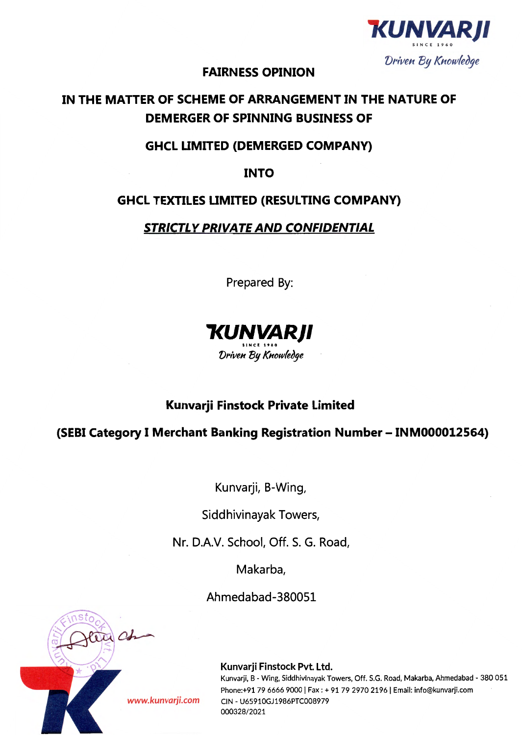

## **FAIRNESS OPINION**

# **IN THE MATTER OF SCHEME OF ARRANGEMENT IN THE NATURE OF DEMERGER OF SPINNING BUSINESS OF**

## **GHCL LIMITED (DEMERGED COMPANY)**

**INTO** 

## **GHCL TEXTILES LIMITED (RESULTING COMPANY)**

## **STRICTLY PRIVATE AND CONFIDENTIAL**

Prepared By:



# **Kunvarji Finstock Private Limited**

**(SEBI Category I Merchant Banking Registration Number - INM000012564)** 

Kunvarji, B-Wing,

Siddhivinayak Towers,

Nr. D.A.V. School, Off. S. G. Road,

Makarba,

Ahmedabad-380051

Kunvarji Finstock Pvt. Ltd.

Kunvarji, B - Wing, Siddhivinayak Towers, Off. S.G. Road, Makarba, Ahmedabad - 380 051 Phone:+91 79 6666 9000 | Fax: + 91 79 2970 2196 | Email: info@kunvarji.com *www.kunvarji.com* CIN - U65910GJ1986PTC008979 000328/2021

Da Ch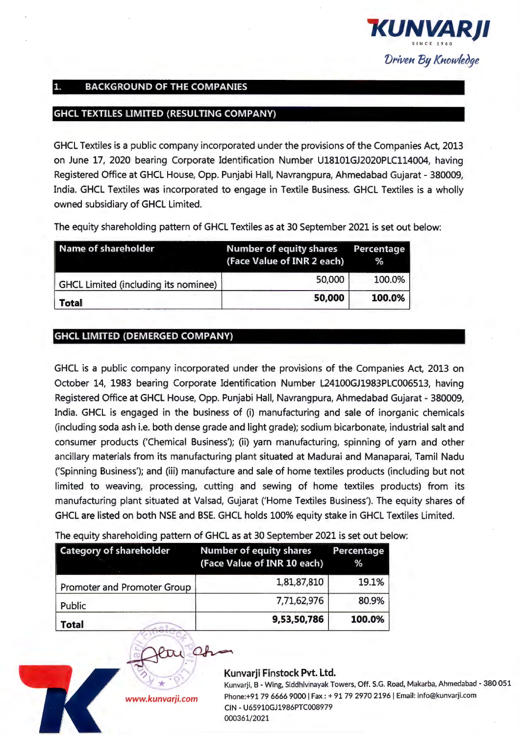

## 1. BACKGROUND OF THE COMPANIES

## GHCL TEXTILES LIMITED (RESULTING COMPANY)

GHCL Textiles is a public company incorporated under the provisions of the Companies Act, 2013 on June 17, 2020 bearing Corporate Identification Number Ul8101GJ2020PLC114004, having Registered Office at GHCL House, Opp. Punjabi Hall, Navrangpura, Ahmedabad Gujarat - 380009, India. GHCL Textiles was incorporated to engage in Textile Business. GHCL Textiles is a wholly owned subsidiary of GHCL Limited.

The equity shareholding pattern of GHCL Textiles as at 30 September 2021 is set out below:

| Name of shareholder                         | Number of equity shares Percentage<br>(Face Value of INR 2 each) | %      |
|---------------------------------------------|------------------------------------------------------------------|--------|
| <b>GHCL Limited (including its nominee)</b> | 50,000                                                           | 100.0% |
| <b>Total</b>                                | 50,000                                                           | 100.0% |

### GHCL LIMITED (DEMERGED COMPANY)

GHCL is a public company incorporated under the provisions of the Companies Act, 2013 on October 14, 1983 bearing Corporate Identification Number L24100GJ1983PLC006513, having Registered Office at GHCL House, Opp. Punjabi Hall, Navrangpura, Ahmedabad Gujarat - 380009, India. GHCL is engaged in the business of (i) manufacturing and sale of inorganic chemicals (including soda ash i.e. both dense grade and light grade); sodium bicarbonate, industrial salt and consumer products ('Chemical Business'); (ii) yarn manufacturing, spinning of yarn and other ancillary materials from its manufacturing plant situated at Madurai and Manaparai, Tamil Nadu ('Spinning Business'); and (iii) manufacture and sale of home textiles products (including but not limited to weaving, processing, cutting and sewing of home textiles products) from its manufacturing plant situated at Valsad, Gujarat ('Home Textiles Business'). The equity shares of GHCL are listed on both NSE and BSE. GHCL holds 100% equity stake in GHCL Textiles Limited.

The equity shareholding pattern of GHCL as at 30 September 2021 is set out below:

| <b>Category of shareholder</b>     | <b>Number of equity shares</b><br>(Face Value of INR 10 each) | Percentage<br>℅ |
|------------------------------------|---------------------------------------------------------------|-----------------|
| <b>Promoter and Promoter Group</b> | 1,81,87,810                                                   | 19.1%           |
| Public                             | 7,71,62,976                                                   | 80.9%           |
| Total                              | 9,53,50,786                                                   | 100.0%          |



#### Kunvarji Finstock Pvt. Ltd.

Kunvarji, B - Wing, Siddhivinayak Towers, Off. S.G. Road, Makarba, Ahmedabad - 380 051 Phone:+91 79 6666 9000 I Fax : + 91 79 2970 2196 I Email: info@kunvarji.com CIN - U65910GJ1986PTC008979 000361/2021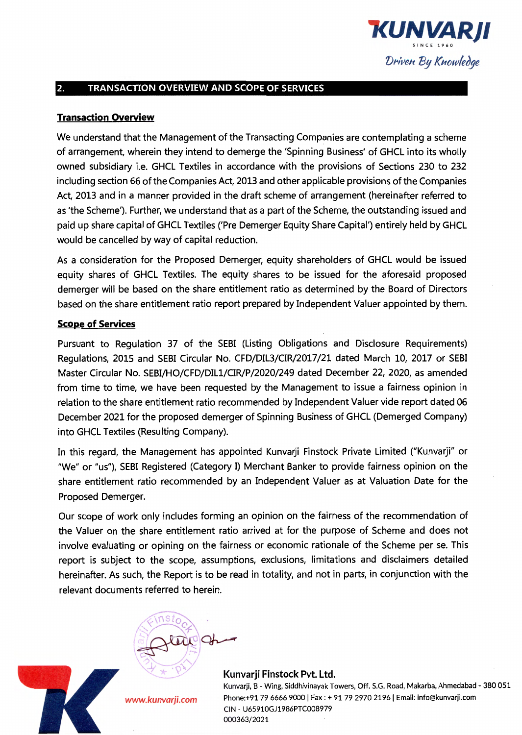

## 2. TRANSACTION OVERVIEW AND SCOPE OF SERVICES

## Transaction Overview

We understand that the Management of the Transacting Companies are contemplating a scheme of arrangement, wherein they intend to demerge the 'Spinning Business' of GHCL into its wholly owned subsidiary i.e. GHCL Textiles in accordance with the provisions of Sections 230 to 232 including section 66 of the Companies Act, 2013 and other applicable provisions of the Companies Act, 2013 and in a manner provided in the draft scheme of arrangement (hereinafter referred to as 'the Scheme'). Further, we understand that as a part of the Scheme, the outstanding issued and paid up share capital of GHCL Textiles ('Pre Demerger Equity Share Capital') entirely held by GHCL would be cancelled by way of capital reduction.

As a consideration for the Proposed Demerger, equity shareholders of GHCL would be issued equity shares of GHCL Textiles. The equity shares to be issued for the aforesaid proposed demerger will be based on the share entitlement ratio as determined by the Board of Directors based on the share entitlement ratio report prepared by Independent Valuer appointed by them.

## **Scope of Services**

Pursuant to Regulation 37 of the SEBI (Listing Obligations and Disclosure Requirements) Regulations, 2015 and SEBI Circular No. CFD/DIL3/CIR/2017/21 dated March 10, 2017 or SEBI Master Circular No. SEBI/HO/CFD/Dlll/CIR/P/2020/249 dated December 22, 2020, as amended from time to time, we have been requested by the Management to issue a fairness opinion in relation to the share entitlement ratio recommended by Independent Valuer vide report dated 06 December 2021 for the proposed demerger of Spinning Business of GHCL (Demerged Company) into GHCL Textiles (Resulting Company).

In this regard, the Management has appointed Kunvarji Finstock Private Limited ("Kunvarji" or "We" or "us"), SEBI Registered (Category I) Merchant Banker to provide fairness opinion on the share entitlement ratio recommended by an Independent Valuer as at Valuation Date for the Proposed Demerger.

Our scope of work only includes forming an opinion on the fairness of the recommendation of the Valuer on the share entitlement ratio arrived at for the purpose of Scheme and does not involve evaluating or opining on the fairness or economic rationale of the Scheme per se. This report is subject to the scope, assumptions, exclusions, limitations and disclaimers detailed hereinafter. As such, the Report is to be read in totality, and not in parts, in conjunction with the relevant documents referred to herein.



*www.kunvarji.com* 

Kunvarji, B - Wing, Siddhivinayak Towers, Off. S.G. Road, Makarba, Ahmedabad - 380 051 Phone:+91 79 6666 9000 | Fax : + 91 79 2970 2196 | Email: info@kunvarji.com CIN - U65910GJ1986PTC008979 000363/2021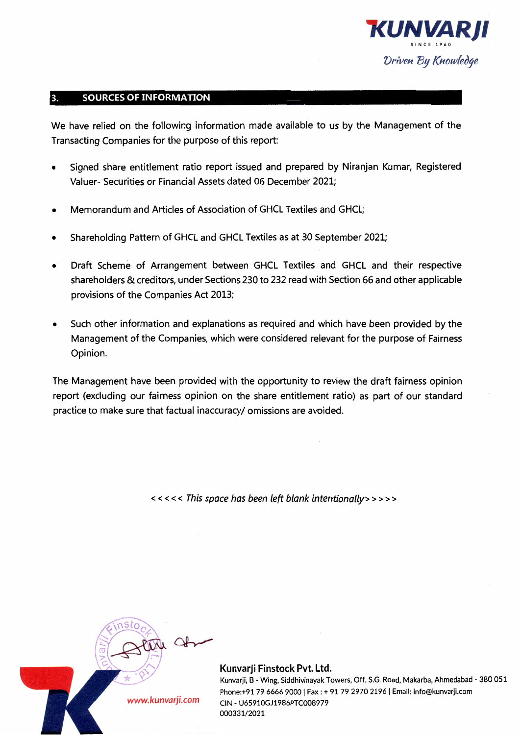

### 3. SOURCES OF INFORMATION

We have relied on the following information made available to us by the Management of the Transacting Companies for the purpose of this report:

- Signed share entitlement ratio report issued and prepared by Niranjan Kumar, Registered Valuer- Securities or Financial Assets dated 06 December 2021;
- Memorandum and Articles of Association of GHCL Textiles and GHCL;
- Shareholding Pattern of GHCL and GHCL Textiles as at 30 September 2021;
- Draft Scheme of Arrangement between GHCL Textiles and GHCL and their respective shareholders & creditors, under Sections 230 to 232 read with Section 66 and other applicable provisions of the Companies Act 2013;
- Such other information and explanations as required and which have been provided by the Management of the Companies, which were considered relevant for the purpose of Fairness Opinion.

The Management have been provided with the opportunity to review the draft fairness opinion report (excluding our fairness opinion on the share entitlement ratio) as part of our standard practice to make sure that factual inaccuracy/ omissions are avoided.

< < < < < This space has been left blank intentionally>>>>>



#### Kunvarji Finstock Pvt. Ltd.

Kunvarji, B ·Wing, Siddhivinayak Towers, Off. S.G. Road, Makarba, Ahmedabad - 380 051 Phone:+91 79 6666 9000 | Fax : + 91 79 2970 2196 | Email: info@kunvarji.com CIN - U65910GJ1986PTC008979 000331/2021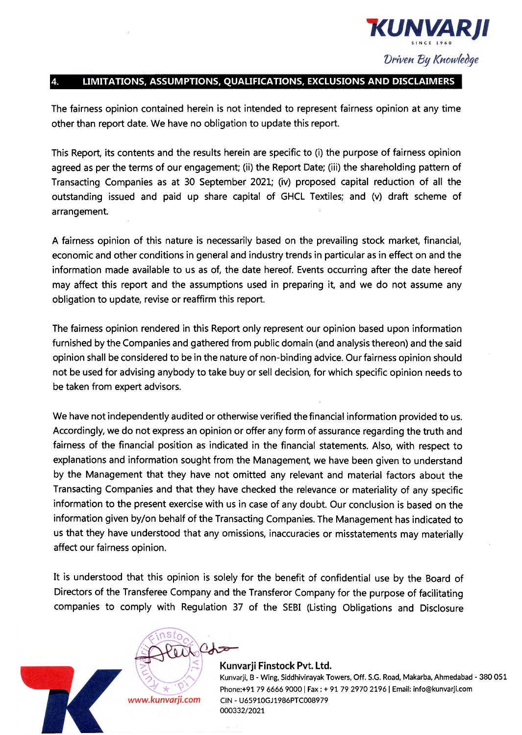

## 4. LIMITATIONS, ASSUMPTIONS, QUALIFICATIONS, EXCLUSIONS AND DISCLAIMERS

The fairness opinion contained herein is not intended to represent fairness opinion at any time other than report date. We have no obligation to update this report.

This Report, its contents and the results herein are specific to (i) the purpose of fairness opinion agreed as per the terms of our engagement; (ii) the Report Date; (iii) the shareholding pattern of Transacting Companies as at 30 September 2021; (iv) proposed capital reduction of all the outstanding issued and paid up share capital of GHCL Textiles; and (v) draft scheme of arrangement.

A fairness opinion of this nature is necessarily based on the prevailing stock market, financial, economic and other conditions in general and industry trends in particular as in effect on and the information made available to us as of, the date hereof. Events occurring after the date hereof may affect this report and the assumptions used in preparing it, and we do not assume any obligation to update, revise or reaffirm this report.

The fairness opinion rendered in this Report only represent our opinion based upon information furnished by the Companies and gathered from public domain (and analysis thereon) and the said opinion shall be considered to be in the nature of non-binding advice. Our fairness opinion should not be used for advising anybody to take buy or sell decision, for which specific opinion needs to be taken from expert advisors.

We have not independently audited or otherwise verified the financial information provided to us. Accordingly, we do not express an opinion or offer any form of assurance regarding the truth and fairness of the financial position as indicated in the financial statements. Also, with respect to explanations and information sought from the Management, we have been given to understand by the Management that they have not omitted any relevant and material factors about the Transacting Companies and that they have checked the relevance or materiality of any specific information to the present exercise with us in case of any doubt. Our conclusion is based on the information given by/on behalf of the Transacting Companies. The Management has indicated to us that they have understood that any omissions, inaccuracies or misstatements may materially affect our fairness opinion.

It is understood that this opinion is solely for the benefit of confidential use by the Board of Directors of the Transferee Company and the Transferor Company for the purpose of facilitating companies to comply with Regulation 37 of the SEBI (Listing Obligations and Disclosure



#### Kunvarji Finstock Pvt. Ltd.

Kunvarji, B - Wing, Siddhivinayak Towers, Off. S.G. Road, Makarba, Ahrnedabad - 380 051 Phone:+91 79 6666 9000 | Fax : + 91 79 2970 2196 | Email: info@kunvarji.com CIN - U65910GJ1986PTC008979 000332/2021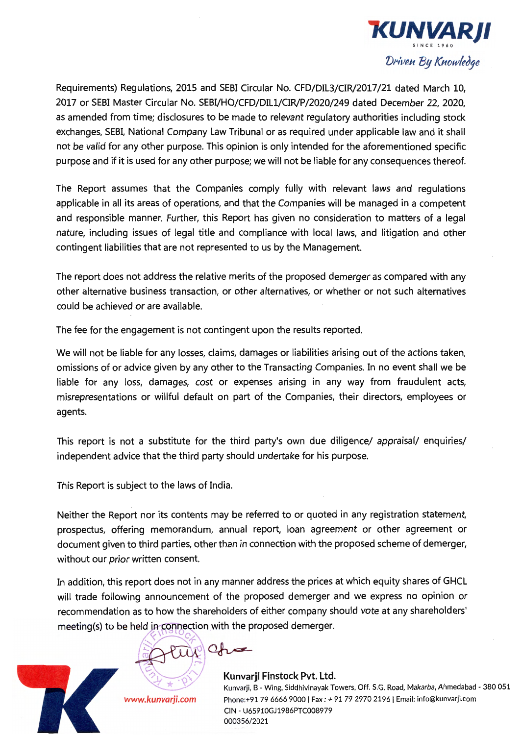

Requirements) Regulations, 2015 and SEBI Circular No. CFD/DIL3/CIR/2017/21 dated March 10, 2017 or SEBI Master Circular No. SEBI/HO/CFD/DILl/CIR/P/2020/249 dated December 22, 2020, as amended from time; disclosures to be made to relevant regulatory authorities including stock exchanges, SEBI, National Company Law Tribunal or as required under applicable law and it shall not be valid for any other purpose. This opinion is only intended for the aforementioned specific purpose and if it is used for any other purpose; we will not be liable for any consequences thereof.

The Report assumes that the Companies comply fully with relevant laws and regulations applicable in all its areas of operations, and that the Companies will be managed in a competent and responsible manner. Further, this Report has given no consideration to matters of a legal nature, including issues of legal title and compliance with local laws, and litigation and other contingent liabilities that are not represented to us by the Management.

The report does not address the relative merits of the proposed demerger as compared with any other alternative business transaction, or other alternatives, or whether or not such alternatives could be achieved or are available.

The fee for the engagement is not contingent upon the results reported.

We will not be liable for any losses, claims, damages or liabilities arising out of the actions taken, omissions of or advice given by any other to the Transacting Companies. In no event shall we be liable for any loss, damages, cost or expenses arising in any way from fraudulent acts, misrepresentations or willful default on part of the Companies, their directors, employees or agents.

This report is not a substitute for the third party's own due diligence/ appraisal/ enquiries/ independent advice that the third party should undertake for his purpose.

This Report is subject to the laws of India.

Neither the Report nor its contents may be referred to or quoted in any registration statement, prospectus, offering memorandum, annual report, loan agreement or other agreement or document given to third parties, other than in connection with the proposed scheme of demerger, without our prior written consent.

In addition, this report does not in any manner address the prices at which equity shares of GHCL will trade following announcement of the proposed demerger and we express no opinion or recommendation as to how the shareholders of either company should vote at any shareholders' meeting(s) to be held in connection with the proposed demerger.

tup Cha

*www.kunvarji.com* 

#### Kunvarji Finstock Pvt. Ltd. Kunvarji, El - Wing, Siddhivinayak Towers, Off. S.G. Road, Makarba, Ahmedabad - 380 051 Phone:+91 79 6666 9000 I Fax: + 91 79 2970 2196 I Email: info@kunvarji.com CIN - U65910GJ1986PTC008979 000356/2021